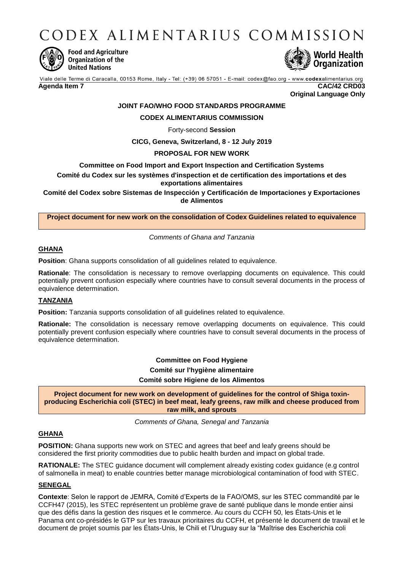CODEX ALIMENTARIUS COMMISSION



**Food and Agriculture** Organization of the **United Nations** 



Viale delle Terme di Caracalla, 00153 Rome, Italy - Tel: (+39) 06 57051 - E-mail: codex@fao.org - www.codexalimentarius.org **Agenda Item 7 CAC/42 CRD03**

**Original Language Only**

# **JOINT FAO/WHO FOOD STANDARDS PROGRAMME**

### **CODEX ALIMENTARIUS COMMISSION**

Forty-second **Session** 

**CICG, Geneva, Switzerland, 8 - 12 July 2019**

### **PROPOSAL FOR NEW WORK**

### **Committee on Food Import and Export Inspection and Certification Systems**

**Comité du Codex sur les systèmes d'inspection et de certification des importations et des exportations alimentaires**

**Comité del Codex sobre Sistemas de Inspección y Certificación de Importaciones y Exportaciones de Alimentos**

**Project document for new work on the consolidation of Codex Guidelines related to equivalence**

*Comments of Ghana and Tanzania*

### **GHANA**

**Position**: Ghana supports consolidation of all guidelines related to equivalence.

**Rationale**: The consolidation is necessary to remove overlapping documents on equivalence. This could potentially prevent confusion especially where countries have to consult several documents in the process of equivalence determination.

### **TANZANIA**

**Position:** Tanzania supports consolidation of all guidelines related to equivalence.

**Rationale:** The consolidation is necessary remove overlapping documents on equivalence. This could potentially prevent confusion especially where countries have to consult several documents in the process of equivalence determination.

> **Committee on Food Hygiene Comité sur l'hygiène alimentaire Comité sobre Higiene de los Alimentos**

**Project document for new work on development of guidelines for the control of Shiga toxinproducing Escherichia coli (STEC) in beef meat, leafy greens, raw milk and cheese produced from raw milk, and sprouts**

*Comments of Ghana, Senegal and Tanzania*

# **GHANA**

**POSITION:** Ghana supports new work on STEC and agrees that beef and leafy greens should be considered the first priority commodities due to public health burden and impact on global trade.

**RATIONALE:** The STEC guidance document will complement already existing codex guidance (e.g control of salmonella in meat) to enable countries better manage microbiological contamination of food with STEC.

#### **SENEGAL**

**Contexte**: Selon le rapport de JEMRA, Comité d'Experts de la FAO/OMS, sur les STEC commandité par le CCFH47 (2015), les STEC représentent un problème grave de santé publique dans le monde entier ainsi que des défis dans la gestion des risques et le commerce. Au cours du CCFH 50, les États-Unis et le Panama ont co-présidés le GTP sur les travaux prioritaires du CCFH, et présenté le document de travail et le document de projet soumis par les États-Unis, le Chili et l'Uruguay sur la "Maîtrise des Escherichia coli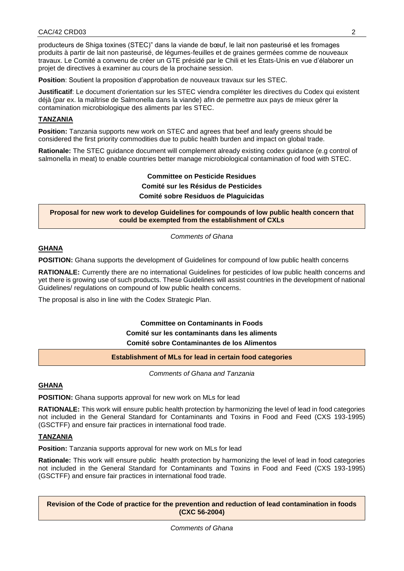producteurs de Shiga toxines (STEC)" dans la viande de bœuf, le lait non pasteurisé et les fromages produits à partir de lait non pasteurisé, de légumes-feuilles et de graines germées comme de nouveaux travaux. Le Comité a convenu de créer un GTE présidé par le Chili et les États-Unis en vue d'élaborer un projet de directives à examiner au cours de la prochaine session.

**Position**: Soutient la proposition d'approbation de nouveaux travaux sur les STEC.

**Justificatif**: Le document d'orientation sur les STEC viendra compléter les directives du Codex qui existent déjà (par ex. la maîtrise de Salmonella dans la viande) afin de permettre aux pays de mieux gérer la contamination microbiologique des aliments par les STEC.

#### **TANZANIA**

**Position:** Tanzania supports new work on STEC and agrees that beef and leafy greens should be considered the first priority commodities due to public health burden and impact on global trade.

**Rationale:** The STEC guidance document will complement already existing codex guidance (e.g control of salmonella in meat) to enable countries better manage microbiological contamination of food with STEC.

# **Committee on Pesticide Residues Comité sur les Résidus de Pesticides Comité sobre Residuos de Plaguicidas**

**Proposal for new work to develop Guidelines for compounds of low public health concern that could be exempted from the establishment of CXLs**

*Comments of Ghana*

# **GHANA**

**POSITION:** Ghana supports the development of Guidelines for compound of low public health concerns

**RATIONALE:** Currently there are no international Guidelines for pesticides of low public health concerns and yet there is growing use of such products. These Guidelines will assist countries in the development of national Guidelines/ regulations on compound of low public health concerns.

The proposal is also in line with the Codex Strategic Plan.

# **Committee on Contaminants in Foods Comité sur les contaminants dans les aliments Comité sobre Contaminantes de los Alimentos**

### **Establishment of MLs for lead in certain food categories**

*Comments of Ghana and Tanzania*

### **GHANA**

**POSITION:** Ghana supports approval for new work on MLs for lead

**RATIONALE:** This work will ensure public health protection by harmonizing the level of lead in food categories not included in the General Standard for Contaminants and Toxins in Food and Feed (CXS 193-1995) (GSCTFF) and ensure fair practices in international food trade.

#### **TANZANIA**

**Position:** Tanzania supports approval for new work on MLs for lead

**Rationale:** This work will ensure public health protection by harmonizing the level of lead in food categories not included in the General Standard for Contaminants and Toxins in Food and Feed (CXS 193-1995) (GSCTFF) and ensure fair practices in international food trade.

**Revision of the Code of practice for the prevention and reduction of lead contamination in foods (CXC 56-2004)**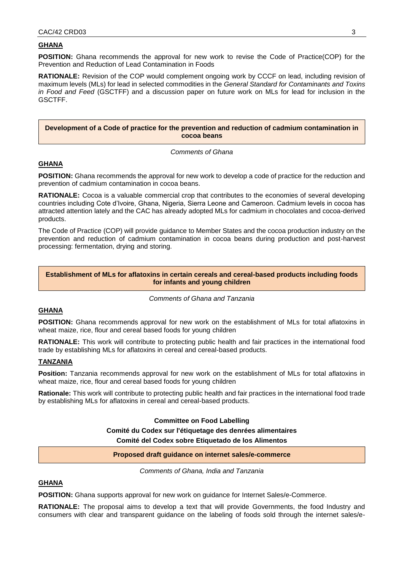#### **GHANA**

**POSITION:** Ghana recommends the approval for new work to revise the Code of Practice(COP) for the Prevention and Reduction of Lead Contamination in Foods

**RATIONALE:** Revision of the COP would complement ongoing work by CCCF on lead, including revision of maximum levels (MLs) for lead in selected commodities in the *General Standard for Contaminants and Toxins in Food and Feed* (GSCTFF) and a discussion paper on future work on MLs for lead for inclusion in the GSCTFF.

**Development of a Code of practice for the prevention and reduction of cadmium contamination in cocoa beans**

*Comments of Ghana*

# **GHANA**

**POSITION:** Ghana recommends the approval for new work to develop a code of practice for the reduction and prevention of cadmium contamination in cocoa beans.

**RATIONALE:** Cocoa is a valuable commercial crop that contributes to the economies of several developing countries including Cote d'Ivoire, Ghana, Nigeria, Sierra Leone and Cameroon. Cadmium levels in cocoa has attracted attention lately and the CAC has already adopted MLs for cadmium in chocolates and cocoa-derived products.

The Code of Practice (COP) will provide guidance to Member States and the cocoa production industry on the prevention and reduction of cadmium contamination in cocoa beans during production and post-harvest processing: fermentation, drying and storing.

### **Establishment of MLs for aflatoxins in certain cereals and cereal-based products including foods for infants and young children**

#### *Comments of Ghana and Tanzania*

### **GHANA**

**POSITION:** Ghana recommends approval for new work on the establishment of MLs for total aflatoxins in wheat maize, rice, flour and cereal based foods for young children

**RATIONALE:** This work will contribute to protecting public health and fair practices in the international food trade by establishing MLs for aflatoxins in cereal and cereal-based products.

### **TANZANIA**

**Position:** Tanzania recommends approval for new work on the establishment of MLs for total aflatoxins in wheat maize, rice, flour and cereal based foods for young children

**Rationale:** This work will contribute to protecting public health and fair practices in the international food trade by establishing MLs for aflatoxins in cereal and cereal-based products.

> **Committee on Food Labelling Comité du Codex sur l'étiquetage des denrées alimentaires Comité del Codex sobre Etiquetado de los Alimentos**

**Proposed draft guidance on internet sales/e-commerce**

*Comments of Ghana, India and Tanzania*

#### **GHANA**

**POSITION:** Ghana supports approval for new work on guidance for Internet Sales/e-Commerce.

**RATIONALE:** The proposal aims to develop a text that will provide Governments, the food Industry and consumers with clear and transparent guidance on the labeling of foods sold through the internet sales/e-